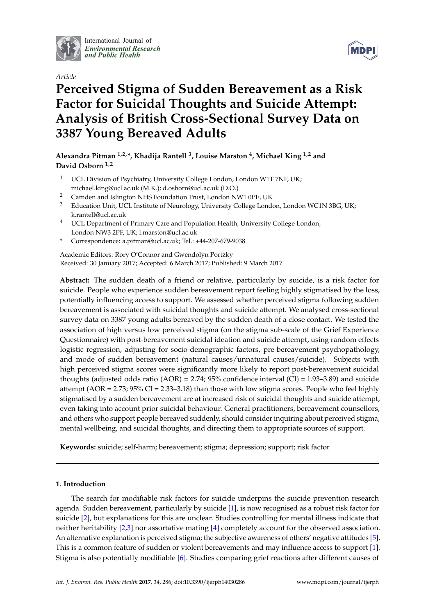

International Journal of *[Environmental Research](http://www.mdpi.com/journal/ijerph) and Public Health*



# *Article* **Perceived Stigma of Sudden Bereavement as a Risk Factor for Suicidal Thoughts and Suicide Attempt: Analysis of British Cross-Sectional Survey Data on 3387 Young Bereaved Adults**

# **Alexandra Pitman 1,2,\*, Khadija Rantell <sup>3</sup> , Louise Marston <sup>4</sup> , Michael King 1,2 and David Osborn 1,2**

- <sup>1</sup> UCL Division of Psychiatry, University College London, London W1T 7NF, UK; michael.king@ucl.ac.uk (M.K.); d.osborn@ucl.ac.uk (D.O.)
- <sup>2</sup> Camden and Islington NHS Foundation Trust, London NW1 0PE, UK
- <sup>3</sup> Education Unit, UCL Institute of Neurology, University College London, London WC1N 3BG, UK; k.rantell@ucl.ac.uk
- <sup>4</sup> UCL Department of Primary Care and Population Health, University College London, London NW3 2PF, UK; l.marston@ucl.ac.uk
- **\*** Correspondence: a.pitman@ucl.ac.uk; Tel.: +44-207-679-9038

Academic Editors: Rory O'Connor and Gwendolyn Portzky Received: 30 January 2017; Accepted: 6 March 2017; Published: 9 March 2017

**Abstract:** The sudden death of a friend or relative, particularly by suicide, is a risk factor for suicide. People who experience sudden bereavement report feeling highly stigmatised by the loss, potentially influencing access to support. We assessed whether perceived stigma following sudden bereavement is associated with suicidal thoughts and suicide attempt. We analysed cross-sectional survey data on 3387 young adults bereaved by the sudden death of a close contact. We tested the association of high versus low perceived stigma (on the stigma sub-scale of the Grief Experience Questionnaire) with post-bereavement suicidal ideation and suicide attempt, using random effects logistic regression, adjusting for socio-demographic factors, pre-bereavement psychopathology, and mode of sudden bereavement (natural causes/unnatural causes/suicide). Subjects with high perceived stigma scores were significantly more likely to report post-bereavement suicidal thoughts (adjusted odds ratio (AOR) = 2.74; 95% confidence interval (CI) = 1.93–3.89) and suicide attempt (AOR = 2.73; 95% CI = 2.33–3.18) than those with low stigma scores. People who feel highly stigmatised by a sudden bereavement are at increased risk of suicidal thoughts and suicide attempt, even taking into account prior suicidal behaviour. General practitioners, bereavement counsellors, and others who support people bereaved suddenly, should consider inquiring about perceived stigma, mental wellbeing, and suicidal thoughts, and directing them to appropriate sources of support.

**Keywords:** suicide; self-harm; bereavement; stigma; depression; support; risk factor

# **1. Introduction**

The search for modifiable risk factors for suicide underpins the suicide prevention research agenda. Sudden bereavement, particularly by suicide [\[1\]](#page-9-0), is now recognised as a robust risk factor for suicide [\[2\]](#page-9-1), but explanations for this are unclear. Studies controlling for mental illness indicate that neither heritability [\[2](#page-9-1)[,3\]](#page-9-2) nor assortative mating [\[4\]](#page-9-3) completely account for the observed association. An alternative explanation is perceived stigma; the subjective awareness of others' negative attitudes [\[5\]](#page-9-4). This is a common feature of sudden or violent bereavements and may influence access to support [\[1\]](#page-9-0). Stigma is also potentially modifiable [\[6\]](#page-9-5). Studies comparing grief reactions after different causes of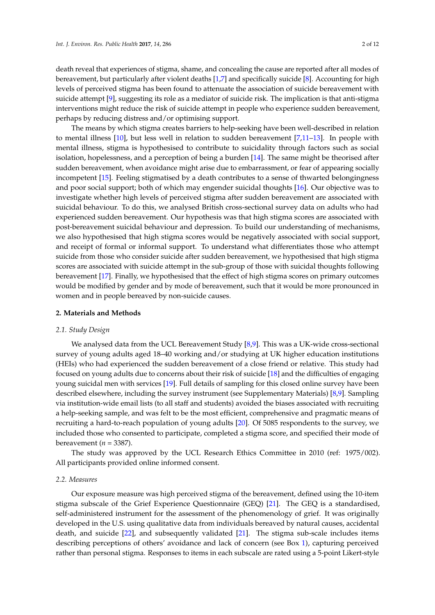death reveal that experiences of stigma, shame, and concealing the cause are reported after all modes of bereavement, but particularly after violent deaths [\[1](#page-9-0)[,7\]](#page-9-6) and specifically suicide [\[8\]](#page-9-7). Accounting for high levels of perceived stigma has been found to attenuate the association of suicide bereavement with suicide attempt [\[9\]](#page-9-8), suggesting its role as a mediator of suicide risk. The implication is that anti-stigma interventions might reduce the risk of suicide attempt in people who experience sudden bereavement, perhaps by reducing distress and/or optimising support.

The means by which stigma creates barriers to help-seeking have been well-described in relation to mental illness [\[10\]](#page-9-9), but less well in relation to sudden bereavement [\[7,](#page-9-6)[11](#page-9-10)[–13\]](#page-9-11). In people with mental illness, stigma is hypothesised to contribute to suicidality through factors such as social isolation, hopelessness, and a perception of being a burden [\[14\]](#page-9-12). The same might be theorised after sudden bereavement, when avoidance might arise due to embarrassment, or fear of appearing socially incompetent [\[15\]](#page-9-13). Feeling stigmatised by a death contributes to a sense of thwarted belongingness and poor social support; both of which may engender suicidal thoughts [\[16\]](#page-9-14). Our objective was to investigate whether high levels of perceived stigma after sudden bereavement are associated with suicidal behaviour. To do this, we analysed British cross-sectional survey data on adults who had experienced sudden bereavement. Our hypothesis was that high stigma scores are associated with post-bereavement suicidal behaviour and depression. To build our understanding of mechanisms, we also hypothesised that high stigma scores would be negatively associated with social support, and receipt of formal or informal support. To understand what differentiates those who attempt suicide from those who consider suicide after sudden bereavement, we hypothesised that high stigma scores are associated with suicide attempt in the sub-group of those with suicidal thoughts following bereavement [\[17\]](#page-9-15). Finally, we hypothesised that the effect of high stigma scores on primary outcomes would be modified by gender and by mode of bereavement, such that it would be more pronounced in women and in people bereaved by non-suicide causes.

#### **2. Materials and Methods**

# *2.1. Study Design*

We analysed data from the UCL Bereavement Study [\[8](#page-9-7)[,9\]](#page-9-8). This was a UK-wide cross-sectional survey of young adults aged 18–40 working and/or studying at UK higher education institutions (HEIs) who had experienced the sudden bereavement of a close friend or relative. This study had focused on young adults due to concerns about their risk of suicide [\[18\]](#page-9-16) and the difficulties of engaging young suicidal men with services [\[19\]](#page-10-0). Full details of sampling for this closed online survey have been described elsewhere, including the survey instrument (see Supplementary Materials) [\[8](#page-9-7)[,9\]](#page-9-8). Sampling via institution-wide email lists (to all staff and students) avoided the biases associated with recruiting a help-seeking sample, and was felt to be the most efficient, comprehensive and pragmatic means of recruiting a hard-to-reach population of young adults [\[20\]](#page-10-1). Of 5085 respondents to the survey, we included those who consented to participate, completed a stigma score, and specified their mode of bereavement ( $n = 3387$ ).

The study was approved by the UCL Research Ethics Committee in 2010 (ref: 1975/002). All participants provided online informed consent.

## *2.2. Measures*

Our exposure measure was high perceived stigma of the bereavement, defined using the 10-item stigma subscale of the Grief Experience Questionnaire (GEQ) [\[21\]](#page-10-2). The GEQ is a standardised, self-administered instrument for the assessment of the phenomenology of grief. It was originally developed in the U.S. using qualitative data from individuals bereaved by natural causes, accidental death, and suicide [\[22\]](#page-10-3), and subsequently validated [\[21\]](#page-10-2). The stigma sub-scale includes items describing perceptions of others' avoidance and lack of concern (see Box [1\)](#page-2-0), capturing perceived rather than personal stigma. Responses to items in each subscale are rated using a 5-point Likert-style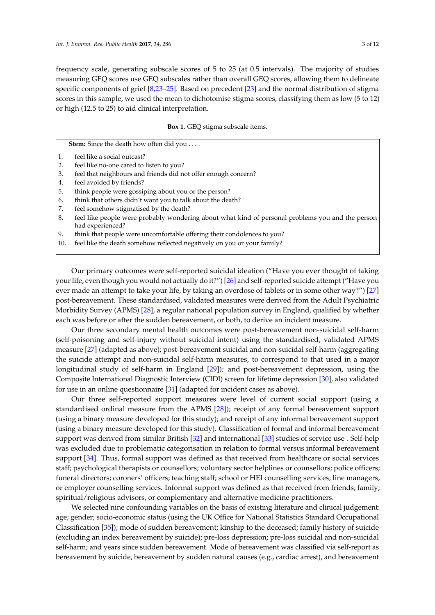frequency scale, generating subscale scores of 5 to 25 (at 0.5 intervals). The majority of studies measuring GEQ scores use GEQ subscales rather than overall GEQ scores, allowing them to delineate specific components of grief [\[8,](#page-9-7)[23–](#page-10-4)[25\]](#page-10-5). Based on precedent [\[23\]](#page-10-4) and the normal distribution of stigma scores in this sample, we used the mean to dichotomise stigma scores, classifying them as low (5 to 12) or high (12.5 to 25) to aid clinical interpretation.

#### **Box 1.** GEQ stigma subscale items.

<span id="page-2-0"></span>

|     | <b>Stem:</b> Since the death how often did you                                                                       |
|-----|----------------------------------------------------------------------------------------------------------------------|
| 1.  | feel like a social outcast?                                                                                          |
| 2.  | feel like no-one cared to listen to you?                                                                             |
| 3.  | feel that neighbours and friends did not offer enough concern?                                                       |
| 4.  | feel avoided by friends?                                                                                             |
| 5.  | think people were gossiping about you or the person?                                                                 |
| 6.  | think that others didn't want you to talk about the death?                                                           |
| 7.  | feel somehow stigmatised by the death?                                                                               |
| 8.  | feel like people were probably wondering about what kind of personal problems you and the person<br>had experienced? |
| 9.  | think that people were uncomfortable offering their condolences to you?                                              |
| 10. | feel like the death somehow reflected negatively on you or your family?                                              |
|     |                                                                                                                      |
|     |                                                                                                                      |

Our primary outcomes were self-reported suicidal ideation ("Have you ever thought of taking your life, even though you would not actually do it?") [\[26\]](#page-10-6) and self-reported suicide attempt ("Have you ever made an attempt to take your life, by taking an overdose of tablets or in some other way?") [\[27\]](#page-10-7) post-bereavement. These standardised, validated measures were derived from the Adult Psychiatric Morbidity Survey (APMS) [\[28\]](#page-10-8), a regular national population survey in England, qualified by whether each was before or after the sudden bereavement, or both, to derive an incident measure.

Our three secondary mental health outcomes were post-bereavement non-suicidal self-harm (self-poisoning and self-injury without suicidal intent) using the standardised, validated APMS measure [\[27\]](#page-10-7) (adapted as above); post-bereavement suicidal and non-suicidal self-harm (aggregating the suicide attempt and non-suicidal self-harm measures, to correspond to that used in a major longitudinal study of self-harm in England [\[29\]](#page-10-9)); and post-bereavement depression, using the Composite International Diagnostic Interview (CIDI) screen for lifetime depression [\[30\]](#page-10-10), also validated for use in an online questionnaire [\[31\]](#page-10-11) (adapted for incident cases as above).

Our three self-reported support measures were level of current social support (using a standardised ordinal measure from the APMS [\[28\]](#page-10-8)); receipt of any formal bereavement support (using a binary measure developed for this study); and receipt of any informal bereavement support (using a binary measure developed for this study). Classification of formal and informal bereavement support was derived from similar British [\[32\]](#page-10-12) and international [\[33\]](#page-10-13) studies of service use . Self-help was excluded due to problematic categorisation in relation to formal versus informal bereavement support [\[34\]](#page-10-14). Thus, formal support was defined as that received from healthcare or social services staff; psychological therapists or counsellors; voluntary sector helplines or counsellors; police officers; funeral directors; coroners' officers; teaching staff; school or HEI counselling services; line managers, or employer counselling services. Informal support was defined as that received from friends; family; spiritual/religious advisors, or complementary and alternative medicine practitioners.

We selected nine confounding variables on the basis of existing literature and clinical judgement: age; gender; socio-economic status (using the UK Office for National Statistics Standard Occupational Classification [\[35\]](#page-10-15)); mode of sudden bereavement; kinship to the deceased; family history of suicide (excluding an index bereavement by suicide); pre-loss depression; pre-loss suicidal and non-suicidal self-harm; and years since sudden bereavement. Mode of bereavement was classified via self-report as bereavement by suicide, bereavement by sudden natural causes (e.g., cardiac arrest), and bereavement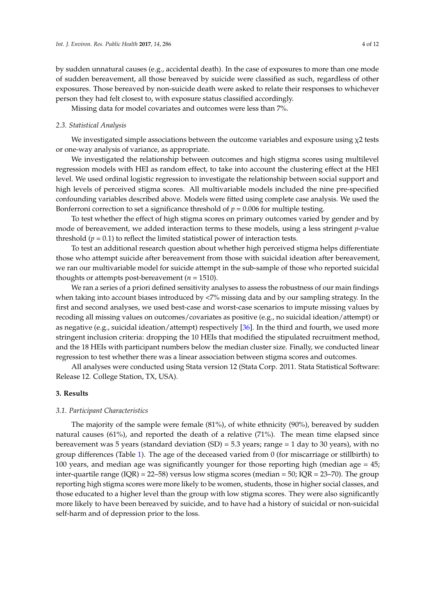by sudden unnatural causes (e.g., accidental death). In the case of exposures to more than one mode of sudden bereavement, all those bereaved by suicide were classified as such, regardless of other exposures. Those bereaved by non-suicide death were asked to relate their responses to whichever person they had felt closest to, with exposure status classified accordingly.

Missing data for model covariates and outcomes were less than 7%.

## *2.3. Statistical Analysis*

We investigated simple associations between the outcome variables and exposure using χ2 tests or one-way analysis of variance, as appropriate.

We investigated the relationship between outcomes and high stigma scores using multilevel regression models with HEI as random effect, to take into account the clustering effect at the HEI level. We used ordinal logistic regression to investigate the relationship between social support and high levels of perceived stigma scores. All multivariable models included the nine pre-specified confounding variables described above. Models were fitted using complete case analysis. We used the Bonferroni correction to set a significance threshold of  $p = 0.006$  for multiple testing.

To test whether the effect of high stigma scores on primary outcomes varied by gender and by mode of bereavement, we added interaction terms to these models, using a less stringent *p*-value threshold  $(p = 0.1)$  to reflect the limited statistical power of interaction tests.

To test an additional research question about whether high perceived stigma helps differentiate those who attempt suicide after bereavement from those with suicidal ideation after bereavement, we ran our multivariable model for suicide attempt in the sub-sample of those who reported suicidal thoughts or attempts post-bereavement ( $n = 1510$ ).

We ran a series of a priori defined sensitivity analyses to assess the robustness of our main findings when taking into account biases introduced by <7% missing data and by our sampling strategy. In the first and second analyses, we used best-case and worst-case scenarios to impute missing values by recoding all missing values on outcomes/covariates as positive (e.g., no suicidal ideation/attempt) or as negative (e.g., suicidal ideation/attempt) respectively [\[36\]](#page-10-16). In the third and fourth, we used more stringent inclusion criteria: dropping the 10 HEIs that modified the stipulated recruitment method, and the 18 HEIs with participant numbers below the median cluster size. Finally, we conducted linear regression to test whether there was a linear association between stigma scores and outcomes.

All analyses were conducted using Stata version 12 (Stata Corp. 2011. Stata Statistical Software: Release 12. College Station, TX, USA).

## **3. Results**

# *3.1. Participant Characteristics*

The majority of the sample were female (81%), of white ethnicity (90%), bereaved by sudden natural causes (61%), and reported the death of a relative (71%). The mean time elapsed since bereavement was 5 years (standard deviation  $(SD) = 5.3$  years; range  $= 1$  day to 30 years), with no group differences (Table [1\)](#page-4-0). The age of the deceased varied from 0 (for miscarriage or stillbirth) to 100 years, and median age was significantly younger for those reporting high (median age = 45; inter-quartile range (IQR) = 22–58) versus low stigma scores (median = 50; IQR = 23–70). The group reporting high stigma scores were more likely to be women, students, those in higher social classes, and those educated to a higher level than the group with low stigma scores. They were also significantly more likely to have been bereaved by suicide, and to have had a history of suicidal or non-suicidal self-harm and of depression prior to the loss.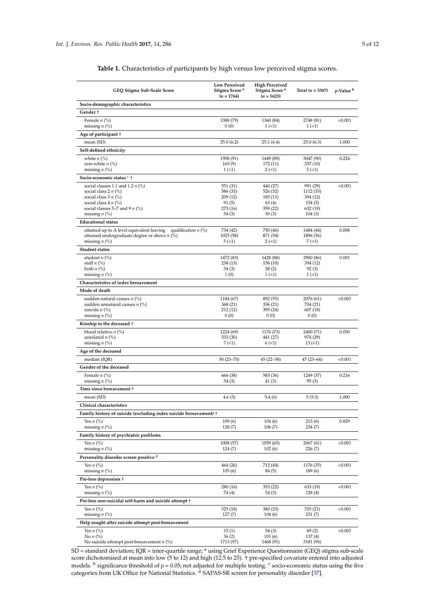<span id="page-4-0"></span>

| Socio-demographic characteristics<br>Gender +<br>Female $n$ (%)<br>1388 (79)<br>1360 (84)<br>2748 (81)<br>< 0.001<br>missing $n$ (%)<br>0(0)<br>$1(-1)$<br>$1(-1)$<br>Age of participant +<br>mean (SD)<br>25.0(6.2)<br>25.1(6.4)<br>25.0(6.3)<br>1.000<br>Self-defined ethnicity<br>0.224<br>white $n$ (%)<br>1598 (91)<br>3047 (90)<br>1449 (89)<br>non-white $n$ (%)<br>165(9)<br>172(11)<br>337 (10)<br>missing $n$ (%)<br>1(1)<br>$2(-1)$<br>$3(-1)$<br>Socio-economic status c +<br>social classes 1.1 and 1.2 $n$ (%)<br>551 (31)<br>< 0.001<br>440 (27)<br>991 (29)<br>social class $2 n$ (%)<br>586 (33)<br>526 (32)<br>1112 (33)<br>social class $3 n$ (%)<br>209(12)<br>185(11)<br>394 (12)<br>social class $4 n$ (%)<br>91(5)<br>63(4)<br>154(5)<br>social classes 5–7 and 9 $n$ (%)<br>273 (16)<br>359 (22)<br>632 (19)<br>missing $n$ (%)<br>54(3)<br>104(3)<br>50(3)<br><b>Educational status</b><br>attained up to A level equivalent leaving<br>qualification $n$ (%)<br>734 (42)<br>750 (46)<br>1484 (44)<br>0.008<br>attained undergraduate degree or above $n$ (%)<br>1025 (58)<br>871 (54)<br>1896 (56)<br>missing $n$ (%)<br>5(1)<br>7(1)<br>$2(-1)$<br><b>Student status</b><br>0.001<br>student $n$ (%)<br>1472 (83)<br>1428 (88)<br>2900 (86)<br>staff $n$ (%)<br>238 (13)<br>156(10)<br>394 (12)<br>both $n$ $\left(\% \right)$<br>92(3)<br>54 (3)<br>38(2)<br>missing $n$ (%)<br>1(0)<br>1(1)<br>1(1)<br>Characteristics of index bereavement<br>Mode of death<br>sudden natural causes $n$ (%)<br>1184 (67)<br>2076 (61)<br>< 0.001<br>892 (55)<br>sudden unnatural causes $n$ (%)<br>368 (21)<br>336 (21)<br>704 (21)<br>suicide $n$ (%)<br>212(12)<br>395 (24)<br>607(18)<br>missing $n$ (%)<br>0(0)<br>0(0)<br>0(0)<br>Kinship to the deceased +<br>blood relative $n$ (%)<br>1224 (69)<br>0.050<br>1176 (73)<br>2400 (71)<br>unrelated $n$ (%)<br>533 (30)<br>974 (29)<br>441 (27)<br>missing $n$ (%)<br>7(1)<br>13(1)<br>6(1)<br>Age of the deceased<br>median (IOR)<br>$50(23 - 70)$<br>$45(22 - 58)$<br>$47(23-64)$<br>< 0.001<br>Gender of the deceased<br>Female $n$ (%)<br>1249 (37)<br>0.216<br>666 (38)<br>583 (36)<br>missing $n$ (%)<br>95(3)<br>54 (3)<br>41(3)<br>Time since bereavement +<br>1.000<br>mean (SD)<br>4.6(5)<br>5.4(6)<br>5(5.3)<br>Clinical characteristics<br>Family history of suicide (excluding index suicide bereavement) +<br>109(6)<br>0.829<br>104(6)<br>213(6)<br>Yes $n$ (%)<br>missing $n$ (%)<br>128(7)<br>106(7)<br>234 (7)<br>Family history of psychiatric problems<br>Yes $n$ (%)<br>1008 (57)<br>1059(65)<br>2067(61)<br>< 0.001<br>missing $n$ (%)<br>124(7)<br>102(6)<br>226(7)<br>Personality disorder screen positive d<br>Yes $n$ (%)<br>< 0.001<br>464 (26)<br>712 (44)<br>1176 (35)<br>105(6)<br>189(6)<br>missing $n$ (%)<br>84 (5)<br>Pre-loss depression +<br>Yes $n$ (%)<br>280 (16)<br>633 (19)<br>< 0.001<br>353 (22)<br>missing $n$ (%)<br>74 (4)<br>54 (3)<br>128(4)<br>Pre-loss non-suicidal self-harm and suicide attempt +<br>< 0.001<br>Yes $n$ (%)<br>325 (18)<br>380 (23)<br>705 (21)<br>missing $n$ (%)<br>127(7)<br>104(6)<br>231(7)<br>Help sought after suicide attempt post-bereavement<br>Yes $n$ (%)<br>< 0.001<br>15(1)<br>54 (3)<br>69(2) | GEQ Stigma Sub-Scale Score | <b>Low Perceived</b><br>Stigma Score <sup>a</sup><br>$(n = 1764)$ | <b>High Perceived</b><br>Stigma Score <sup>a</sup><br>$(n = 1623)$ | Total $(n = 3387)$ | p-Value <sup>b</sup> |
|-----------------------------------------------------------------------------------------------------------------------------------------------------------------------------------------------------------------------------------------------------------------------------------------------------------------------------------------------------------------------------------------------------------------------------------------------------------------------------------------------------------------------------------------------------------------------------------------------------------------------------------------------------------------------------------------------------------------------------------------------------------------------------------------------------------------------------------------------------------------------------------------------------------------------------------------------------------------------------------------------------------------------------------------------------------------------------------------------------------------------------------------------------------------------------------------------------------------------------------------------------------------------------------------------------------------------------------------------------------------------------------------------------------------------------------------------------------------------------------------------------------------------------------------------------------------------------------------------------------------------------------------------------------------------------------------------------------------------------------------------------------------------------------------------------------------------------------------------------------------------------------------------------------------------------------------------------------------------------------------------------------------------------------------------------------------------------------------------------------------------------------------------------------------------------------------------------------------------------------------------------------------------------------------------------------------------------------------------------------------------------------------------------------------------------------------------------------------------------------------------------------------------------------------------------------------------------------------------------------------------------------------------------------------------------------------------------------------------------------------------------------------------------------------------------------------------------------------------------------------------------------------------------------------------------------------------------------------------------------------------------------------------------------------------------------------------------------------------------------------------------------------------------------------------------------------------------------------------------------------------------|----------------------------|-------------------------------------------------------------------|--------------------------------------------------------------------|--------------------|----------------------|
|                                                                                                                                                                                                                                                                                                                                                                                                                                                                                                                                                                                                                                                                                                                                                                                                                                                                                                                                                                                                                                                                                                                                                                                                                                                                                                                                                                                                                                                                                                                                                                                                                                                                                                                                                                                                                                                                                                                                                                                                                                                                                                                                                                                                                                                                                                                                                                                                                                                                                                                                                                                                                                                                                                                                                                                                                                                                                                                                                                                                                                                                                                                                                                                                                                                     |                            |                                                                   |                                                                    |                    |                      |
|                                                                                                                                                                                                                                                                                                                                                                                                                                                                                                                                                                                                                                                                                                                                                                                                                                                                                                                                                                                                                                                                                                                                                                                                                                                                                                                                                                                                                                                                                                                                                                                                                                                                                                                                                                                                                                                                                                                                                                                                                                                                                                                                                                                                                                                                                                                                                                                                                                                                                                                                                                                                                                                                                                                                                                                                                                                                                                                                                                                                                                                                                                                                                                                                                                                     |                            |                                                                   |                                                                    |                    |                      |
|                                                                                                                                                                                                                                                                                                                                                                                                                                                                                                                                                                                                                                                                                                                                                                                                                                                                                                                                                                                                                                                                                                                                                                                                                                                                                                                                                                                                                                                                                                                                                                                                                                                                                                                                                                                                                                                                                                                                                                                                                                                                                                                                                                                                                                                                                                                                                                                                                                                                                                                                                                                                                                                                                                                                                                                                                                                                                                                                                                                                                                                                                                                                                                                                                                                     |                            |                                                                   |                                                                    |                    |                      |
|                                                                                                                                                                                                                                                                                                                                                                                                                                                                                                                                                                                                                                                                                                                                                                                                                                                                                                                                                                                                                                                                                                                                                                                                                                                                                                                                                                                                                                                                                                                                                                                                                                                                                                                                                                                                                                                                                                                                                                                                                                                                                                                                                                                                                                                                                                                                                                                                                                                                                                                                                                                                                                                                                                                                                                                                                                                                                                                                                                                                                                                                                                                                                                                                                                                     |                            |                                                                   |                                                                    |                    |                      |
|                                                                                                                                                                                                                                                                                                                                                                                                                                                                                                                                                                                                                                                                                                                                                                                                                                                                                                                                                                                                                                                                                                                                                                                                                                                                                                                                                                                                                                                                                                                                                                                                                                                                                                                                                                                                                                                                                                                                                                                                                                                                                                                                                                                                                                                                                                                                                                                                                                                                                                                                                                                                                                                                                                                                                                                                                                                                                                                                                                                                                                                                                                                                                                                                                                                     |                            |                                                                   |                                                                    |                    |                      |
|                                                                                                                                                                                                                                                                                                                                                                                                                                                                                                                                                                                                                                                                                                                                                                                                                                                                                                                                                                                                                                                                                                                                                                                                                                                                                                                                                                                                                                                                                                                                                                                                                                                                                                                                                                                                                                                                                                                                                                                                                                                                                                                                                                                                                                                                                                                                                                                                                                                                                                                                                                                                                                                                                                                                                                                                                                                                                                                                                                                                                                                                                                                                                                                                                                                     |                            |                                                                   |                                                                    |                    |                      |
|                                                                                                                                                                                                                                                                                                                                                                                                                                                                                                                                                                                                                                                                                                                                                                                                                                                                                                                                                                                                                                                                                                                                                                                                                                                                                                                                                                                                                                                                                                                                                                                                                                                                                                                                                                                                                                                                                                                                                                                                                                                                                                                                                                                                                                                                                                                                                                                                                                                                                                                                                                                                                                                                                                                                                                                                                                                                                                                                                                                                                                                                                                                                                                                                                                                     |                            |                                                                   |                                                                    |                    |                      |
|                                                                                                                                                                                                                                                                                                                                                                                                                                                                                                                                                                                                                                                                                                                                                                                                                                                                                                                                                                                                                                                                                                                                                                                                                                                                                                                                                                                                                                                                                                                                                                                                                                                                                                                                                                                                                                                                                                                                                                                                                                                                                                                                                                                                                                                                                                                                                                                                                                                                                                                                                                                                                                                                                                                                                                                                                                                                                                                                                                                                                                                                                                                                                                                                                                                     |                            |                                                                   |                                                                    |                    |                      |
|                                                                                                                                                                                                                                                                                                                                                                                                                                                                                                                                                                                                                                                                                                                                                                                                                                                                                                                                                                                                                                                                                                                                                                                                                                                                                                                                                                                                                                                                                                                                                                                                                                                                                                                                                                                                                                                                                                                                                                                                                                                                                                                                                                                                                                                                                                                                                                                                                                                                                                                                                                                                                                                                                                                                                                                                                                                                                                                                                                                                                                                                                                                                                                                                                                                     |                            |                                                                   |                                                                    |                    |                      |
|                                                                                                                                                                                                                                                                                                                                                                                                                                                                                                                                                                                                                                                                                                                                                                                                                                                                                                                                                                                                                                                                                                                                                                                                                                                                                                                                                                                                                                                                                                                                                                                                                                                                                                                                                                                                                                                                                                                                                                                                                                                                                                                                                                                                                                                                                                                                                                                                                                                                                                                                                                                                                                                                                                                                                                                                                                                                                                                                                                                                                                                                                                                                                                                                                                                     |                            |                                                                   |                                                                    |                    |                      |
|                                                                                                                                                                                                                                                                                                                                                                                                                                                                                                                                                                                                                                                                                                                                                                                                                                                                                                                                                                                                                                                                                                                                                                                                                                                                                                                                                                                                                                                                                                                                                                                                                                                                                                                                                                                                                                                                                                                                                                                                                                                                                                                                                                                                                                                                                                                                                                                                                                                                                                                                                                                                                                                                                                                                                                                                                                                                                                                                                                                                                                                                                                                                                                                                                                                     |                            |                                                                   |                                                                    |                    |                      |
|                                                                                                                                                                                                                                                                                                                                                                                                                                                                                                                                                                                                                                                                                                                                                                                                                                                                                                                                                                                                                                                                                                                                                                                                                                                                                                                                                                                                                                                                                                                                                                                                                                                                                                                                                                                                                                                                                                                                                                                                                                                                                                                                                                                                                                                                                                                                                                                                                                                                                                                                                                                                                                                                                                                                                                                                                                                                                                                                                                                                                                                                                                                                                                                                                                                     |                            |                                                                   |                                                                    |                    |                      |
|                                                                                                                                                                                                                                                                                                                                                                                                                                                                                                                                                                                                                                                                                                                                                                                                                                                                                                                                                                                                                                                                                                                                                                                                                                                                                                                                                                                                                                                                                                                                                                                                                                                                                                                                                                                                                                                                                                                                                                                                                                                                                                                                                                                                                                                                                                                                                                                                                                                                                                                                                                                                                                                                                                                                                                                                                                                                                                                                                                                                                                                                                                                                                                                                                                                     |                            |                                                                   |                                                                    |                    |                      |
|                                                                                                                                                                                                                                                                                                                                                                                                                                                                                                                                                                                                                                                                                                                                                                                                                                                                                                                                                                                                                                                                                                                                                                                                                                                                                                                                                                                                                                                                                                                                                                                                                                                                                                                                                                                                                                                                                                                                                                                                                                                                                                                                                                                                                                                                                                                                                                                                                                                                                                                                                                                                                                                                                                                                                                                                                                                                                                                                                                                                                                                                                                                                                                                                                                                     |                            |                                                                   |                                                                    |                    |                      |
|                                                                                                                                                                                                                                                                                                                                                                                                                                                                                                                                                                                                                                                                                                                                                                                                                                                                                                                                                                                                                                                                                                                                                                                                                                                                                                                                                                                                                                                                                                                                                                                                                                                                                                                                                                                                                                                                                                                                                                                                                                                                                                                                                                                                                                                                                                                                                                                                                                                                                                                                                                                                                                                                                                                                                                                                                                                                                                                                                                                                                                                                                                                                                                                                                                                     |                            |                                                                   |                                                                    |                    |                      |
|                                                                                                                                                                                                                                                                                                                                                                                                                                                                                                                                                                                                                                                                                                                                                                                                                                                                                                                                                                                                                                                                                                                                                                                                                                                                                                                                                                                                                                                                                                                                                                                                                                                                                                                                                                                                                                                                                                                                                                                                                                                                                                                                                                                                                                                                                                                                                                                                                                                                                                                                                                                                                                                                                                                                                                                                                                                                                                                                                                                                                                                                                                                                                                                                                                                     |                            |                                                                   |                                                                    |                    |                      |
|                                                                                                                                                                                                                                                                                                                                                                                                                                                                                                                                                                                                                                                                                                                                                                                                                                                                                                                                                                                                                                                                                                                                                                                                                                                                                                                                                                                                                                                                                                                                                                                                                                                                                                                                                                                                                                                                                                                                                                                                                                                                                                                                                                                                                                                                                                                                                                                                                                                                                                                                                                                                                                                                                                                                                                                                                                                                                                                                                                                                                                                                                                                                                                                                                                                     |                            |                                                                   |                                                                    |                    |                      |
|                                                                                                                                                                                                                                                                                                                                                                                                                                                                                                                                                                                                                                                                                                                                                                                                                                                                                                                                                                                                                                                                                                                                                                                                                                                                                                                                                                                                                                                                                                                                                                                                                                                                                                                                                                                                                                                                                                                                                                                                                                                                                                                                                                                                                                                                                                                                                                                                                                                                                                                                                                                                                                                                                                                                                                                                                                                                                                                                                                                                                                                                                                                                                                                                                                                     |                            |                                                                   |                                                                    |                    |                      |
|                                                                                                                                                                                                                                                                                                                                                                                                                                                                                                                                                                                                                                                                                                                                                                                                                                                                                                                                                                                                                                                                                                                                                                                                                                                                                                                                                                                                                                                                                                                                                                                                                                                                                                                                                                                                                                                                                                                                                                                                                                                                                                                                                                                                                                                                                                                                                                                                                                                                                                                                                                                                                                                                                                                                                                                                                                                                                                                                                                                                                                                                                                                                                                                                                                                     |                            |                                                                   |                                                                    |                    |                      |
|                                                                                                                                                                                                                                                                                                                                                                                                                                                                                                                                                                                                                                                                                                                                                                                                                                                                                                                                                                                                                                                                                                                                                                                                                                                                                                                                                                                                                                                                                                                                                                                                                                                                                                                                                                                                                                                                                                                                                                                                                                                                                                                                                                                                                                                                                                                                                                                                                                                                                                                                                                                                                                                                                                                                                                                                                                                                                                                                                                                                                                                                                                                                                                                                                                                     |                            |                                                                   |                                                                    |                    |                      |
|                                                                                                                                                                                                                                                                                                                                                                                                                                                                                                                                                                                                                                                                                                                                                                                                                                                                                                                                                                                                                                                                                                                                                                                                                                                                                                                                                                                                                                                                                                                                                                                                                                                                                                                                                                                                                                                                                                                                                                                                                                                                                                                                                                                                                                                                                                                                                                                                                                                                                                                                                                                                                                                                                                                                                                                                                                                                                                                                                                                                                                                                                                                                                                                                                                                     |                            |                                                                   |                                                                    |                    |                      |
|                                                                                                                                                                                                                                                                                                                                                                                                                                                                                                                                                                                                                                                                                                                                                                                                                                                                                                                                                                                                                                                                                                                                                                                                                                                                                                                                                                                                                                                                                                                                                                                                                                                                                                                                                                                                                                                                                                                                                                                                                                                                                                                                                                                                                                                                                                                                                                                                                                                                                                                                                                                                                                                                                                                                                                                                                                                                                                                                                                                                                                                                                                                                                                                                                                                     |                            |                                                                   |                                                                    |                    |                      |
|                                                                                                                                                                                                                                                                                                                                                                                                                                                                                                                                                                                                                                                                                                                                                                                                                                                                                                                                                                                                                                                                                                                                                                                                                                                                                                                                                                                                                                                                                                                                                                                                                                                                                                                                                                                                                                                                                                                                                                                                                                                                                                                                                                                                                                                                                                                                                                                                                                                                                                                                                                                                                                                                                                                                                                                                                                                                                                                                                                                                                                                                                                                                                                                                                                                     |                            |                                                                   |                                                                    |                    |                      |
|                                                                                                                                                                                                                                                                                                                                                                                                                                                                                                                                                                                                                                                                                                                                                                                                                                                                                                                                                                                                                                                                                                                                                                                                                                                                                                                                                                                                                                                                                                                                                                                                                                                                                                                                                                                                                                                                                                                                                                                                                                                                                                                                                                                                                                                                                                                                                                                                                                                                                                                                                                                                                                                                                                                                                                                                                                                                                                                                                                                                                                                                                                                                                                                                                                                     |                            |                                                                   |                                                                    |                    |                      |
|                                                                                                                                                                                                                                                                                                                                                                                                                                                                                                                                                                                                                                                                                                                                                                                                                                                                                                                                                                                                                                                                                                                                                                                                                                                                                                                                                                                                                                                                                                                                                                                                                                                                                                                                                                                                                                                                                                                                                                                                                                                                                                                                                                                                                                                                                                                                                                                                                                                                                                                                                                                                                                                                                                                                                                                                                                                                                                                                                                                                                                                                                                                                                                                                                                                     |                            |                                                                   |                                                                    |                    |                      |
|                                                                                                                                                                                                                                                                                                                                                                                                                                                                                                                                                                                                                                                                                                                                                                                                                                                                                                                                                                                                                                                                                                                                                                                                                                                                                                                                                                                                                                                                                                                                                                                                                                                                                                                                                                                                                                                                                                                                                                                                                                                                                                                                                                                                                                                                                                                                                                                                                                                                                                                                                                                                                                                                                                                                                                                                                                                                                                                                                                                                                                                                                                                                                                                                                                                     |                            |                                                                   |                                                                    |                    |                      |
|                                                                                                                                                                                                                                                                                                                                                                                                                                                                                                                                                                                                                                                                                                                                                                                                                                                                                                                                                                                                                                                                                                                                                                                                                                                                                                                                                                                                                                                                                                                                                                                                                                                                                                                                                                                                                                                                                                                                                                                                                                                                                                                                                                                                                                                                                                                                                                                                                                                                                                                                                                                                                                                                                                                                                                                                                                                                                                                                                                                                                                                                                                                                                                                                                                                     |                            |                                                                   |                                                                    |                    |                      |
|                                                                                                                                                                                                                                                                                                                                                                                                                                                                                                                                                                                                                                                                                                                                                                                                                                                                                                                                                                                                                                                                                                                                                                                                                                                                                                                                                                                                                                                                                                                                                                                                                                                                                                                                                                                                                                                                                                                                                                                                                                                                                                                                                                                                                                                                                                                                                                                                                                                                                                                                                                                                                                                                                                                                                                                                                                                                                                                                                                                                                                                                                                                                                                                                                                                     |                            |                                                                   |                                                                    |                    |                      |
|                                                                                                                                                                                                                                                                                                                                                                                                                                                                                                                                                                                                                                                                                                                                                                                                                                                                                                                                                                                                                                                                                                                                                                                                                                                                                                                                                                                                                                                                                                                                                                                                                                                                                                                                                                                                                                                                                                                                                                                                                                                                                                                                                                                                                                                                                                                                                                                                                                                                                                                                                                                                                                                                                                                                                                                                                                                                                                                                                                                                                                                                                                                                                                                                                                                     |                            |                                                                   |                                                                    |                    |                      |
|                                                                                                                                                                                                                                                                                                                                                                                                                                                                                                                                                                                                                                                                                                                                                                                                                                                                                                                                                                                                                                                                                                                                                                                                                                                                                                                                                                                                                                                                                                                                                                                                                                                                                                                                                                                                                                                                                                                                                                                                                                                                                                                                                                                                                                                                                                                                                                                                                                                                                                                                                                                                                                                                                                                                                                                                                                                                                                                                                                                                                                                                                                                                                                                                                                                     |                            |                                                                   |                                                                    |                    |                      |
|                                                                                                                                                                                                                                                                                                                                                                                                                                                                                                                                                                                                                                                                                                                                                                                                                                                                                                                                                                                                                                                                                                                                                                                                                                                                                                                                                                                                                                                                                                                                                                                                                                                                                                                                                                                                                                                                                                                                                                                                                                                                                                                                                                                                                                                                                                                                                                                                                                                                                                                                                                                                                                                                                                                                                                                                                                                                                                                                                                                                                                                                                                                                                                                                                                                     |                            |                                                                   |                                                                    |                    |                      |
|                                                                                                                                                                                                                                                                                                                                                                                                                                                                                                                                                                                                                                                                                                                                                                                                                                                                                                                                                                                                                                                                                                                                                                                                                                                                                                                                                                                                                                                                                                                                                                                                                                                                                                                                                                                                                                                                                                                                                                                                                                                                                                                                                                                                                                                                                                                                                                                                                                                                                                                                                                                                                                                                                                                                                                                                                                                                                                                                                                                                                                                                                                                                                                                                                                                     |                            |                                                                   |                                                                    |                    |                      |
|                                                                                                                                                                                                                                                                                                                                                                                                                                                                                                                                                                                                                                                                                                                                                                                                                                                                                                                                                                                                                                                                                                                                                                                                                                                                                                                                                                                                                                                                                                                                                                                                                                                                                                                                                                                                                                                                                                                                                                                                                                                                                                                                                                                                                                                                                                                                                                                                                                                                                                                                                                                                                                                                                                                                                                                                                                                                                                                                                                                                                                                                                                                                                                                                                                                     |                            |                                                                   |                                                                    |                    |                      |
|                                                                                                                                                                                                                                                                                                                                                                                                                                                                                                                                                                                                                                                                                                                                                                                                                                                                                                                                                                                                                                                                                                                                                                                                                                                                                                                                                                                                                                                                                                                                                                                                                                                                                                                                                                                                                                                                                                                                                                                                                                                                                                                                                                                                                                                                                                                                                                                                                                                                                                                                                                                                                                                                                                                                                                                                                                                                                                                                                                                                                                                                                                                                                                                                                                                     |                            |                                                                   |                                                                    |                    |                      |
|                                                                                                                                                                                                                                                                                                                                                                                                                                                                                                                                                                                                                                                                                                                                                                                                                                                                                                                                                                                                                                                                                                                                                                                                                                                                                                                                                                                                                                                                                                                                                                                                                                                                                                                                                                                                                                                                                                                                                                                                                                                                                                                                                                                                                                                                                                                                                                                                                                                                                                                                                                                                                                                                                                                                                                                                                                                                                                                                                                                                                                                                                                                                                                                                                                                     |                            |                                                                   |                                                                    |                    |                      |
|                                                                                                                                                                                                                                                                                                                                                                                                                                                                                                                                                                                                                                                                                                                                                                                                                                                                                                                                                                                                                                                                                                                                                                                                                                                                                                                                                                                                                                                                                                                                                                                                                                                                                                                                                                                                                                                                                                                                                                                                                                                                                                                                                                                                                                                                                                                                                                                                                                                                                                                                                                                                                                                                                                                                                                                                                                                                                                                                                                                                                                                                                                                                                                                                                                                     |                            |                                                                   |                                                                    |                    |                      |
|                                                                                                                                                                                                                                                                                                                                                                                                                                                                                                                                                                                                                                                                                                                                                                                                                                                                                                                                                                                                                                                                                                                                                                                                                                                                                                                                                                                                                                                                                                                                                                                                                                                                                                                                                                                                                                                                                                                                                                                                                                                                                                                                                                                                                                                                                                                                                                                                                                                                                                                                                                                                                                                                                                                                                                                                                                                                                                                                                                                                                                                                                                                                                                                                                                                     |                            |                                                                   |                                                                    |                    |                      |
|                                                                                                                                                                                                                                                                                                                                                                                                                                                                                                                                                                                                                                                                                                                                                                                                                                                                                                                                                                                                                                                                                                                                                                                                                                                                                                                                                                                                                                                                                                                                                                                                                                                                                                                                                                                                                                                                                                                                                                                                                                                                                                                                                                                                                                                                                                                                                                                                                                                                                                                                                                                                                                                                                                                                                                                                                                                                                                                                                                                                                                                                                                                                                                                                                                                     |                            |                                                                   |                                                                    |                    |                      |
|                                                                                                                                                                                                                                                                                                                                                                                                                                                                                                                                                                                                                                                                                                                                                                                                                                                                                                                                                                                                                                                                                                                                                                                                                                                                                                                                                                                                                                                                                                                                                                                                                                                                                                                                                                                                                                                                                                                                                                                                                                                                                                                                                                                                                                                                                                                                                                                                                                                                                                                                                                                                                                                                                                                                                                                                                                                                                                                                                                                                                                                                                                                                                                                                                                                     |                            |                                                                   |                                                                    |                    |                      |
|                                                                                                                                                                                                                                                                                                                                                                                                                                                                                                                                                                                                                                                                                                                                                                                                                                                                                                                                                                                                                                                                                                                                                                                                                                                                                                                                                                                                                                                                                                                                                                                                                                                                                                                                                                                                                                                                                                                                                                                                                                                                                                                                                                                                                                                                                                                                                                                                                                                                                                                                                                                                                                                                                                                                                                                                                                                                                                                                                                                                                                                                                                                                                                                                                                                     |                            |                                                                   |                                                                    |                    |                      |
|                                                                                                                                                                                                                                                                                                                                                                                                                                                                                                                                                                                                                                                                                                                                                                                                                                                                                                                                                                                                                                                                                                                                                                                                                                                                                                                                                                                                                                                                                                                                                                                                                                                                                                                                                                                                                                                                                                                                                                                                                                                                                                                                                                                                                                                                                                                                                                                                                                                                                                                                                                                                                                                                                                                                                                                                                                                                                                                                                                                                                                                                                                                                                                                                                                                     |                            |                                                                   |                                                                    |                    |                      |
|                                                                                                                                                                                                                                                                                                                                                                                                                                                                                                                                                                                                                                                                                                                                                                                                                                                                                                                                                                                                                                                                                                                                                                                                                                                                                                                                                                                                                                                                                                                                                                                                                                                                                                                                                                                                                                                                                                                                                                                                                                                                                                                                                                                                                                                                                                                                                                                                                                                                                                                                                                                                                                                                                                                                                                                                                                                                                                                                                                                                                                                                                                                                                                                                                                                     |                            |                                                                   |                                                                    |                    |                      |
|                                                                                                                                                                                                                                                                                                                                                                                                                                                                                                                                                                                                                                                                                                                                                                                                                                                                                                                                                                                                                                                                                                                                                                                                                                                                                                                                                                                                                                                                                                                                                                                                                                                                                                                                                                                                                                                                                                                                                                                                                                                                                                                                                                                                                                                                                                                                                                                                                                                                                                                                                                                                                                                                                                                                                                                                                                                                                                                                                                                                                                                                                                                                                                                                                                                     |                            |                                                                   |                                                                    |                    |                      |
|                                                                                                                                                                                                                                                                                                                                                                                                                                                                                                                                                                                                                                                                                                                                                                                                                                                                                                                                                                                                                                                                                                                                                                                                                                                                                                                                                                                                                                                                                                                                                                                                                                                                                                                                                                                                                                                                                                                                                                                                                                                                                                                                                                                                                                                                                                                                                                                                                                                                                                                                                                                                                                                                                                                                                                                                                                                                                                                                                                                                                                                                                                                                                                                                                                                     |                            |                                                                   |                                                                    |                    |                      |
|                                                                                                                                                                                                                                                                                                                                                                                                                                                                                                                                                                                                                                                                                                                                                                                                                                                                                                                                                                                                                                                                                                                                                                                                                                                                                                                                                                                                                                                                                                                                                                                                                                                                                                                                                                                                                                                                                                                                                                                                                                                                                                                                                                                                                                                                                                                                                                                                                                                                                                                                                                                                                                                                                                                                                                                                                                                                                                                                                                                                                                                                                                                                                                                                                                                     |                            |                                                                   |                                                                    |                    |                      |
|                                                                                                                                                                                                                                                                                                                                                                                                                                                                                                                                                                                                                                                                                                                                                                                                                                                                                                                                                                                                                                                                                                                                                                                                                                                                                                                                                                                                                                                                                                                                                                                                                                                                                                                                                                                                                                                                                                                                                                                                                                                                                                                                                                                                                                                                                                                                                                                                                                                                                                                                                                                                                                                                                                                                                                                                                                                                                                                                                                                                                                                                                                                                                                                                                                                     |                            |                                                                   |                                                                    |                    |                      |
|                                                                                                                                                                                                                                                                                                                                                                                                                                                                                                                                                                                                                                                                                                                                                                                                                                                                                                                                                                                                                                                                                                                                                                                                                                                                                                                                                                                                                                                                                                                                                                                                                                                                                                                                                                                                                                                                                                                                                                                                                                                                                                                                                                                                                                                                                                                                                                                                                                                                                                                                                                                                                                                                                                                                                                                                                                                                                                                                                                                                                                                                                                                                                                                                                                                     |                            |                                                                   |                                                                    |                    |                      |
|                                                                                                                                                                                                                                                                                                                                                                                                                                                                                                                                                                                                                                                                                                                                                                                                                                                                                                                                                                                                                                                                                                                                                                                                                                                                                                                                                                                                                                                                                                                                                                                                                                                                                                                                                                                                                                                                                                                                                                                                                                                                                                                                                                                                                                                                                                                                                                                                                                                                                                                                                                                                                                                                                                                                                                                                                                                                                                                                                                                                                                                                                                                                                                                                                                                     |                            |                                                                   |                                                                    |                    |                      |
|                                                                                                                                                                                                                                                                                                                                                                                                                                                                                                                                                                                                                                                                                                                                                                                                                                                                                                                                                                                                                                                                                                                                                                                                                                                                                                                                                                                                                                                                                                                                                                                                                                                                                                                                                                                                                                                                                                                                                                                                                                                                                                                                                                                                                                                                                                                                                                                                                                                                                                                                                                                                                                                                                                                                                                                                                                                                                                                                                                                                                                                                                                                                                                                                                                                     |                            |                                                                   |                                                                    |                    |                      |
|                                                                                                                                                                                                                                                                                                                                                                                                                                                                                                                                                                                                                                                                                                                                                                                                                                                                                                                                                                                                                                                                                                                                                                                                                                                                                                                                                                                                                                                                                                                                                                                                                                                                                                                                                                                                                                                                                                                                                                                                                                                                                                                                                                                                                                                                                                                                                                                                                                                                                                                                                                                                                                                                                                                                                                                                                                                                                                                                                                                                                                                                                                                                                                                                                                                     |                            |                                                                   |                                                                    |                    |                      |
|                                                                                                                                                                                                                                                                                                                                                                                                                                                                                                                                                                                                                                                                                                                                                                                                                                                                                                                                                                                                                                                                                                                                                                                                                                                                                                                                                                                                                                                                                                                                                                                                                                                                                                                                                                                                                                                                                                                                                                                                                                                                                                                                                                                                                                                                                                                                                                                                                                                                                                                                                                                                                                                                                                                                                                                                                                                                                                                                                                                                                                                                                                                                                                                                                                                     |                            |                                                                   |                                                                    |                    |                      |
|                                                                                                                                                                                                                                                                                                                                                                                                                                                                                                                                                                                                                                                                                                                                                                                                                                                                                                                                                                                                                                                                                                                                                                                                                                                                                                                                                                                                                                                                                                                                                                                                                                                                                                                                                                                                                                                                                                                                                                                                                                                                                                                                                                                                                                                                                                                                                                                                                                                                                                                                                                                                                                                                                                                                                                                                                                                                                                                                                                                                                                                                                                                                                                                                                                                     |                            |                                                                   |                                                                    |                    |                      |
| 1713 (97)<br>3181 (94)<br>No suicide attempt post-bereavement $n$ (%)<br>1468 (91)                                                                                                                                                                                                                                                                                                                                                                                                                                                                                                                                                                                                                                                                                                                                                                                                                                                                                                                                                                                                                                                                                                                                                                                                                                                                                                                                                                                                                                                                                                                                                                                                                                                                                                                                                                                                                                                                                                                                                                                                                                                                                                                                                                                                                                                                                                                                                                                                                                                                                                                                                                                                                                                                                                                                                                                                                                                                                                                                                                                                                                                                                                                                                                  | No $n$ (%)                 | 36(2)                                                             | 101(6)                                                             | 137(4)             |                      |

**Table 1.** Characteristics of participants by high versus low perceived stigma scores.

SD = standard deviation; IQR = inter-quartile range; <sup>a</sup> using Grief Experience Questionnaire (GEQ) stigma sub-scale score dichotomised at mean into low (5 to 12) and high (12.5 to 25). † pre-specified covariate entered into adjusted models. <sup>b</sup> significance threshold of  $p = 0.05$ ; not adjusted for multiple testing. <sup>c</sup> socio-economic status using the five categories from UK Office for National Statistics. <sup>d</sup> SAPAS-SR screen for personality disorder [\[37\]](#page-10-17).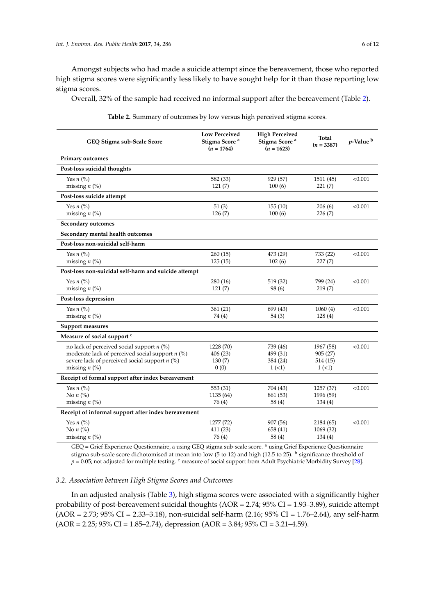Amongst subjects who had made a suicide attempt since the bereavement, those who reported high stigma scores were significantly less likely to have sought help for it than those reporting low stigma scores.

Overall, 32% of the sample had received no informal support after the bereavement (Table [2\)](#page-5-0).

<span id="page-5-0"></span>

| GEQ Stigma sub-Scale Score                           | <b>Low Perceived</b><br>Stigma Score <sup>a</sup><br>$(n = 1764)$ | <b>High Perceived</b><br>Stigma Score <sup>a</sup><br>$(n = 1623)$ | Total<br>$(n = 3387)$ | <i>p</i> -Value <sup>b</sup> |
|------------------------------------------------------|-------------------------------------------------------------------|--------------------------------------------------------------------|-----------------------|------------------------------|
| <b>Primary outcomes</b>                              |                                                                   |                                                                    |                       |                              |
| Post-loss suicidal thoughts                          |                                                                   |                                                                    |                       |                              |
| Yes $n$ (%)                                          | 582 (33)                                                          | 929 (57)                                                           | 1511 (45)             | < 0.001                      |
| missing $n$ (%)                                      | 121(7)                                                            | 100(6)                                                             | 221(7)                |                              |
| Post-loss suicide attempt                            |                                                                   |                                                                    |                       |                              |
| Yes $n$ (%)                                          | 51(3)                                                             | 155(10)                                                            | 206(6)                | < 0.001                      |
| missing $n$ (%)                                      | 126(7)                                                            | 100(6)                                                             | 226(7)                |                              |
| <b>Secondary outcomes</b>                            |                                                                   |                                                                    |                       |                              |
| Secondary mental health outcomes                     |                                                                   |                                                                    |                       |                              |
| Post-loss non-suicidal self-harm                     |                                                                   |                                                                    |                       |                              |
| Yes $n$ (%)                                          | 260(15)                                                           | 473 (29)                                                           | 733 (22)              | < 0.001                      |
| missing $n$ (%)                                      | 125(15)                                                           | 102(6)                                                             | 227(7)                |                              |
| Post-loss non-suicidal self-harm and suicide attempt |                                                                   |                                                                    |                       |                              |
| Yes $n$ (%)                                          | 280(16)                                                           | 519 (32)                                                           | 799 (24)              | < 0.001                      |
| missing $n$ (%)                                      | 121(7)                                                            | 98(6)                                                              | 219(7)                |                              |
| Post-loss depression                                 |                                                                   |                                                                    |                       |                              |
| Yes $n$ (%)                                          | 361(21)                                                           | 699 (43)                                                           | 1060(4)               | < 0.001                      |
| missing $n$ (%)                                      | 74 (4)                                                            | 54 (3)                                                             | 128(4)                |                              |
| <b>Support measures</b>                              |                                                                   |                                                                    |                       |                              |
| Measure of social support c                          |                                                                   |                                                                    |                       |                              |
| no lack of perceived social support $n$ (%)          | 1228 (70)                                                         | 739 (46)                                                           | 1967 (58)             | < 0.001                      |
| moderate lack of perceived social support $n$ (%)    | 406(23)                                                           | 499 (31)                                                           | 905(27)               |                              |
| severe lack of perceived social support $n$ (%)      | 130(7)                                                            | 384 (24)                                                           | 514(15)               |                              |
| missing $n$ (%)                                      | 0(0)                                                              | 1(1)                                                               | 1(1)                  |                              |
| Receipt of formal support after index bereavement    |                                                                   |                                                                    |                       |                              |
| Yes $n$ (%)                                          | 553 (31)                                                          | 704 (43)                                                           | 1257 (37)             | < 0.001                      |
| No $n$ (%)                                           | 1135 (64)                                                         | 861 (53)                                                           | 1996 (59)             |                              |
| missing $n$ (%)                                      | 76 (4)                                                            | 58(4)                                                              | 134(4)                |                              |
| Receipt of informal support after index bereavement  |                                                                   |                                                                    |                       |                              |
| Yes $n$ (%)                                          | 1277 (72)                                                         | 907 (56)                                                           | 2184 (65)             | < 0.001                      |
| No $n$ (%)                                           | 411 (23)                                                          | 658 (41)                                                           | 1069 (32)             |                              |
| missing $n$ (%)                                      | 76(4)                                                             | 58(4)                                                              | 134 (4)               |                              |

**Table 2.** Summary of outcomes by low versus high perceived stigma scores.

GEQ = Grief Experience Questionnaire, a using GEQ stigma sub-scale score. <sup>a</sup> using Grief Experience Questionnaire stigma sub-scale score dichotomised at mean into low (5 to 12) and high (12.5 to 25). <sup>b</sup> significance threshold of  $p = 0.05$ ; not adjusted for multiple testing. <sup>c</sup> measure of social support from Adult Psychiatric Morbidity Survey [\[28\]](#page-10-8).

# *3.2. Association between High Stigma Scores and Outcomes*

In an adjusted analysis (Table [3\)](#page-6-0), high stigma scores were associated with a significantly higher probability of post-bereavement suicidal thoughts (AOR = 2.74; 95% CI = 1.93–3.89), suicide attempt (AOR = 2.73; 95% CI = 2.33–3.18), non-suicidal self-harm (2.16; 95% CI = 1.76–2.64), any self-harm  $(AOR = 2.25; 95\% CI = 1.85–2.74)$ , depression  $(AOR = 3.84; 95\% CI = 3.21–4.59)$ .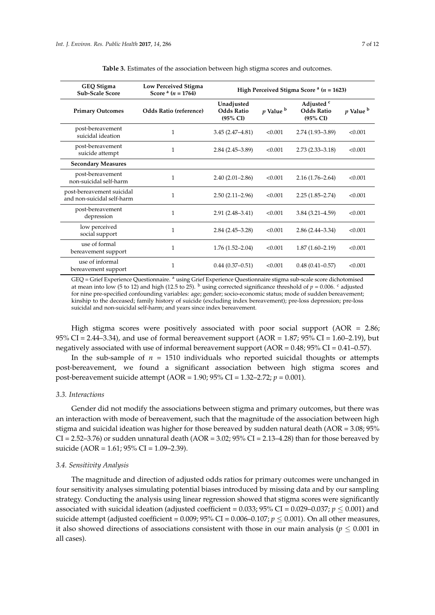<span id="page-6-0"></span>

| GEQ Stigma<br><b>Sub-Scale Score</b>                    | Low Perceived Stigma<br>Score <sup>a</sup> ( $n = 1764$ ) | High Perceived Stigma Score $a(n = 1623)$              |                             |                                                        |           |  |
|---------------------------------------------------------|-----------------------------------------------------------|--------------------------------------------------------|-----------------------------|--------------------------------------------------------|-----------|--|
| <b>Primary Outcomes</b>                                 | <b>Odds Ratio (reference)</b>                             | Unadjusted<br><b>Odds Ratio</b><br>$(95\% \text{ CI})$ | <i>p</i> Value <sup>b</sup> | Adjusted c<br><b>Odds Ratio</b><br>$(95\% \text{ CI})$ | p Value b |  |
| post-bereavement<br>suicidal ideation                   | 1                                                         | $3.45(2.47 - 4.81)$                                    | < 0.001                     | $2.74(1.93 - 3.89)$                                    | < 0.001   |  |
| post-bereavement<br>suicide attempt                     | 1                                                         | $2.84(2.45-3.89)$                                      | < 0.001                     | $2.73(2.33 - 3.18)$                                    | < 0.001   |  |
| <b>Secondary Measures</b>                               |                                                           |                                                        |                             |                                                        |           |  |
| post-bereavement<br>non-suicidal self-harm              | 1                                                         | $2.40(2.01 - 2.86)$                                    | < 0.001                     | $2.16(1.76 - 2.64)$                                    | < 0.001   |  |
| post-bereavement suicidal<br>and non-suicidal self-harm | 1                                                         | $2.50(2.11-2.96)$                                      | < 0.001                     | $2.25(1.85 - 2.74)$                                    | < 0.001   |  |
| post-bereavement<br>depression                          | 1                                                         | $2.91(2.48 - 3.41)$                                    | < 0.001                     | $3.84(3.21 - 4.59)$                                    | < 0.001   |  |
| low perceived<br>social support                         | 1                                                         | $2.84(2.45-3.28)$                                      | < 0.001                     | $2.86(2.44 - 3.34)$                                    | < 0.001   |  |
| use of formal<br>bereavement support                    | 1                                                         | $1.76(1.52 - 2.04)$                                    | < 0.001                     | $1.87(1.60 - 2.19)$                                    | < 0.001   |  |
| use of informal<br>bereavement support                  | 1                                                         | $0.44$ (0.37-0.51)                                     | < 0.001                     | $0.48(0.41 - 0.57)$                                    | < 0.001   |  |

**Table 3.** Estimates of the association between high stigma scores and outcomes.

GEQ = Grief Experience Questionnaire. <sup>a</sup> using Grief Experience Questionnaire stigma sub-scale score dichotomised at mean into low (5 to 12) and high (12.5 to 25). <sup>b</sup> using corrected significance threshold of  $p = 0.006$ . <sup>c</sup> adjusted for nine pre-specified confounding variables: age; gender; socio-economic status; mode of sudden bereavement; kinship to the deceased; family history of suicide (excluding index bereavement); pre-loss depression; pre-loss suicidal and non-suicidal self-harm; and years since index bereavement.

High stigma scores were positively associated with poor social support ( $AOR = 2.86$ ; 95% CI = 2.44–3.34), and use of formal bereavement support (AOR = 1.87; 95% CI = 1.60–2.19), but negatively associated with use of informal bereavement support (AOR = 0.48; 95% CI = 0.41–0.57).

In the sub-sample of *n* = 1510 individuals who reported suicidal thoughts or attempts post-bereavement, we found a significant association between high stigma scores and post-bereavement suicide attempt (AOR = 1.90; 95% CI = 1.32–2.72; *p* = 0.001).

# *3.3. Interactions*

Gender did not modify the associations between stigma and primary outcomes, but there was an interaction with mode of bereavement, such that the magnitude of the association between high stigma and suicidal ideation was higher for those bereaved by sudden natural death (AOR = 3.08; 95%  $CI = 2.52-3.76$ ) or sudden unnatural death (AOR = 3.02;  $95\% CI = 2.13-4.28$ ) than for those bereaved by suicide (AOR = 1.61; 95% CI = 1.09–2.39).

### *3.4. Sensitivity Analysis*

The magnitude and direction of adjusted odds ratios for primary outcomes were unchanged in four sensitivity analyses simulating potential biases introduced by missing data and by our sampling strategy. Conducting the analysis using linear regression showed that stigma scores were significantly associated with suicidal ideation (adjusted coefficient =  $0.033$ ;  $95\%$  CI =  $0.029 - 0.037$ ;  $p \le 0.001$ ) and suicide attempt (adjusted coefficient =  $0.009$ ;  $95\%$  CI =  $0.006$ – $0.107$ ;  $p \le 0.001$ ). On all other measures, it also showed directions of associations consistent with those in our main analysis ( $p \leq 0.001$  in all cases).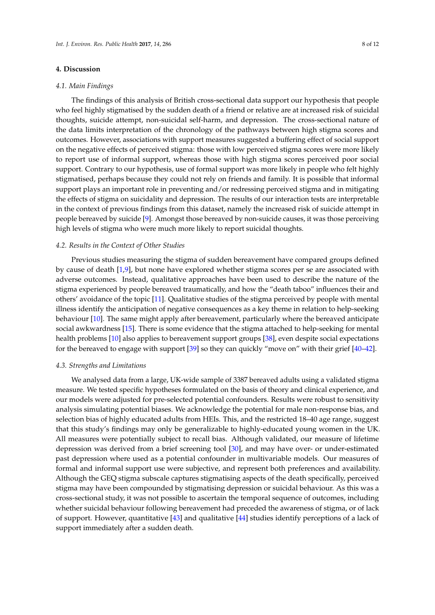## **4. Discussion**

## *4.1. Main Findings*

The findings of this analysis of British cross-sectional data support our hypothesis that people who feel highly stigmatised by the sudden death of a friend or relative are at increased risk of suicidal thoughts, suicide attempt, non-suicidal self-harm, and depression. The cross-sectional nature of the data limits interpretation of the chronology of the pathways between high stigma scores and outcomes. However, associations with support measures suggested a buffering effect of social support on the negative effects of perceived stigma: those with low perceived stigma scores were more likely to report use of informal support, whereas those with high stigma scores perceived poor social support. Contrary to our hypothesis, use of formal support was more likely in people who felt highly stigmatised, perhaps because they could not rely on friends and family. It is possible that informal support plays an important role in preventing and/or redressing perceived stigma and in mitigating the effects of stigma on suicidality and depression. The results of our interaction tests are interpretable in the context of previous findings from this dataset, namely the increased risk of suicide attempt in people bereaved by suicide [\[9\]](#page-9-8). Amongst those bereaved by non-suicide causes, it was those perceiving high levels of stigma who were much more likely to report suicidal thoughts.

# *4.2. Results in the Context of Other Studies*

Previous studies measuring the stigma of sudden bereavement have compared groups defined by cause of death [\[1,](#page-9-0)[9\]](#page-9-8), but none have explored whether stigma scores per se are associated with adverse outcomes. Instead, qualitative approaches have been used to describe the nature of the stigma experienced by people bereaved traumatically, and how the "death taboo" influences their and others' avoidance of the topic [\[11\]](#page-9-10). Qualitative studies of the stigma perceived by people with mental illness identify the anticipation of negative consequences as a key theme in relation to help-seeking behaviour [\[10\]](#page-9-9). The same might apply after bereavement, particularly where the bereaved anticipate social awkwardness [\[15\]](#page-9-13). There is some evidence that the stigma attached to help-seeking for mental health problems [\[10\]](#page-9-9) also applies to bereavement support groups [\[38\]](#page-10-18), even despite social expectations for the bereaved to engage with support [\[39\]](#page-10-19) so they can quickly "move on" with their grief [\[40](#page-10-20)[–42\]](#page-11-0).

# *4.3. Strengths and Limitations*

We analysed data from a large, UK-wide sample of 3387 bereaved adults using a validated stigma measure. We tested specific hypotheses formulated on the basis of theory and clinical experience, and our models were adjusted for pre-selected potential confounders. Results were robust to sensitivity analysis simulating potential biases. We acknowledge the potential for male non-response bias, and selection bias of highly educated adults from HEIs. This, and the restricted 18–40 age range, suggest that this study's findings may only be generalizable to highly-educated young women in the UK. All measures were potentially subject to recall bias. Although validated, our measure of lifetime depression was derived from a brief screening tool [\[30\]](#page-10-10), and may have over- or under-estimated past depression where used as a potential confounder in multivariable models. Our measures of formal and informal support use were subjective, and represent both preferences and availability. Although the GEQ stigma subscale captures stigmatising aspects of the death specifically, perceived stigma may have been compounded by stigmatising depression or suicidal behaviour. As this was a cross-sectional study, it was not possible to ascertain the temporal sequence of outcomes, including whether suicidal behaviour following bereavement had preceded the awareness of stigma, or of lack of support. However, quantitative  $[43]$  and qualitative  $[44]$  studies identify perceptions of a lack of support immediately after a sudden death.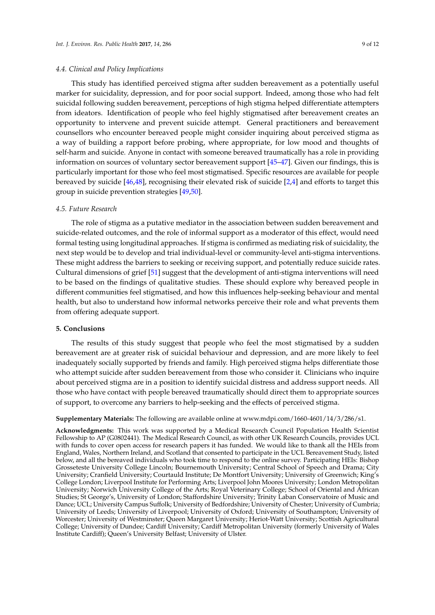This study has identified perceived stigma after sudden bereavement as a potentially useful marker for suicidality, depression, and for poor social support. Indeed, among those who had felt suicidal following sudden bereavement, perceptions of high stigma helped differentiate attempters from ideators. Identification of people who feel highly stigmatised after bereavement creates an opportunity to intervene and prevent suicide attempt. General practitioners and bereavement counsellors who encounter bereaved people might consider inquiring about perceived stigma as a way of building a rapport before probing, where appropriate, for low mood and thoughts of self-harm and suicide. Anyone in contact with someone bereaved traumatically has a role in providing information on sources of voluntary sector bereavement support [\[45](#page-11-3)[–47\]](#page-11-4). Given our findings, this is particularly important for those who feel most stigmatised. Specific resources are available for people bereaved by suicide [\[46](#page-11-5)[,48\]](#page-11-6), recognising their elevated risk of suicide [\[2,](#page-9-1)[4\]](#page-9-3) and efforts to target this group in suicide prevention strategies [\[49](#page-11-7)[,50\]](#page-11-8).

#### *4.5. Future Research*

The role of stigma as a putative mediator in the association between sudden bereavement and suicide-related outcomes, and the role of informal support as a moderator of this effect, would need formal testing using longitudinal approaches. If stigma is confirmed as mediating risk of suicidality, the next step would be to develop and trial individual-level or community-level anti-stigma interventions. These might address the barriers to seeking or receiving support, and potentially reduce suicide rates. Cultural dimensions of grief [\[51\]](#page-11-9) suggest that the development of anti-stigma interventions will need to be based on the findings of qualitative studies. These should explore why bereaved people in different communities feel stigmatised, and how this influences help-seeking behaviour and mental health, but also to understand how informal networks perceive their role and what prevents them from offering adequate support.

#### **5. Conclusions**

The results of this study suggest that people who feel the most stigmatised by a sudden bereavement are at greater risk of suicidal behaviour and depression, and are more likely to feel inadequately socially supported by friends and family. High perceived stigma helps differentiate those who attempt suicide after sudden bereavement from those who consider it. Clinicians who inquire about perceived stigma are in a position to identify suicidal distress and address support needs. All those who have contact with people bereaved traumatically should direct them to appropriate sources of support, to overcome any barriers to help-seeking and the effects of perceived stigma.

**Supplementary Materials:** The following are available online at www.mdpi.com/1660-4601/14/3/286/s1.

**Acknowledgments:** This work was supported by a Medical Research Council Population Health Scientist Fellowship to AP (G0802441). The Medical Research Council, as with other UK Research Councils, provides UCL with funds to cover open access for research papers it has funded. We would like to thank all the HEIs from England, Wales, Northern Ireland, and Scotland that consented to participate in the UCL Bereavement Study, listed below, and all the bereaved individuals who took time to respond to the online survey. Participating HEIs: Bishop Grosseteste University College Lincoln; Bournemouth University; Central School of Speech and Drama; City University; Cranfield University; Courtauld Institute; De Montfort University; University of Greenwich; King's College London; Liverpool Institute for Performing Arts; Liverpool John Moores University; London Metropolitan University; Norwich University College of the Arts; Royal Veterinary College; School of Oriental and African Studies; St George's, University of London; Staffordshire University; Trinity Laban Conservatoire of Music and Dance; UCL; University Campus Suffolk; University of Bedfordshire; University of Chester; University of Cumbria; University of Leeds; University of Liverpool; University of Oxford; University of Southampton; University of Worcester; University of Westminster; Queen Margaret University; Heriot-Watt University; Scottish Agricultural College; University of Dundee; Cardiff University; Cardiff Metropolitan University (formerly University of Wales Institute Cardiff); Queen's University Belfast; University of Ulster.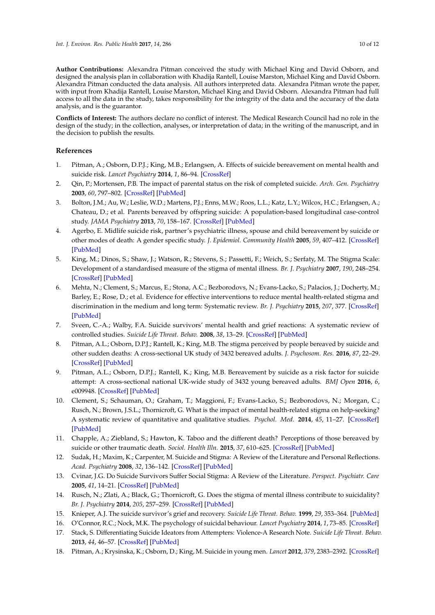**Author Contributions:** Alexandra Pitman conceived the study with Michael King and David Osborn, and designed the analysis plan in collaboration with Khadija Rantell, Louise Marston, Michael King and David Osborn. Alexandra Pitman conducted the data analysis. All authors interpreted data. Alexandra Pitman wrote the paper, with input from Khadija Rantell, Louise Marston, Michael King and David Osborn. Alexandra Pitman had full access to all the data in the study, takes responsibility for the integrity of the data and the accuracy of the data analysis, and is the guarantor.

**Conflicts of Interest:** The authors declare no conflict of interest. The Medical Research Council had no role in the design of the study; in the collection, analyses, or interpretation of data; in the writing of the manuscript, and in the decision to publish the results.

# **References**

- <span id="page-9-0"></span>1. Pitman, A.; Osborn, D.P.J.; King, M.B.; Erlangsen, A. Effects of suicide bereavement on mental health and suicide risk. *Lancet Psychiatry* **2014**, *1*, 86–94. [\[CrossRef\]](http://dx.doi.org/10.1016/S2215-0366(14)70224-X)
- <span id="page-9-1"></span>2. Qin, P.; Mortensen, P.B. The impact of parental status on the risk of completed suicide. *Arch. Gen. Psychiatry* **2003**, *60*, 797–802. [\[CrossRef\]](http://dx.doi.org/10.1001/archpsyc.60.8.797) [\[PubMed\]](http://www.ncbi.nlm.nih.gov/pubmed/12912763)
- <span id="page-9-2"></span>3. Bolton, J.M.; Au, W.; Leslie, W.D.; Martens, P.J.; Enns, M.W.; Roos, L.L.; Katz, L.Y.; Wilcox, H.C.; Erlangsen, A.; Chateau, D.; et al. Parents bereaved by offspring suicide: A population-based longitudinal case-control study. *JAMA Psychiatry* **2013**, *70*, 158–167. [\[CrossRef\]](http://dx.doi.org/10.1001/jamapsychiatry.2013.275) [\[PubMed\]](http://www.ncbi.nlm.nih.gov/pubmed/23229880)
- <span id="page-9-3"></span>4. Agerbo, E. Midlife suicide risk, partner's psychiatric illness, spouse and child bereavement by suicide or other modes of death: A gender specific study. *J. Epidemiol. Community Health* **2005**, *59*, 407–412. [\[CrossRef\]](http://dx.doi.org/10.1136/jech.2004.024950) [\[PubMed\]](http://www.ncbi.nlm.nih.gov/pubmed/15831691)
- <span id="page-9-4"></span>5. King, M.; Dinos, S.; Shaw, J.; Watson, R.; Stevens, S.; Passetti, F.; Weich, S.; Serfaty, M. The Stigma Scale: Development of a standardised measure of the stigma of mental illness. *Br. J. Psychiatry* **2007**, *190*, 248–254. [\[CrossRef\]](http://dx.doi.org/10.1192/bjp.bp.106.024638) [\[PubMed\]](http://www.ncbi.nlm.nih.gov/pubmed/17329746)
- <span id="page-9-5"></span>6. Mehta, N.; Clement, S.; Marcus, E.; Stona, A.C.; Bezborodovs, N.; Evans-Lacko, S.; Palacios, J.; Docherty, M.; Barley, E.; Rose, D.; et al. Evidence for effective interventions to reduce mental health-related stigma and discrimination in the medium and long term: Systematic review. *Br. J. Psychiatry* **2015**, *207*, 377. [\[CrossRef\]](http://dx.doi.org/10.1192/bjp.bp.114.151944) [\[PubMed\]](http://www.ncbi.nlm.nih.gov/pubmed/26527664)
- <span id="page-9-6"></span>7. Sveen, C.-A.; Walby, F.A. Suicide survivors' mental health and grief reactions: A systematic review of controlled studies. *Suicide Life Threat. Behav.* **2008**, *38*, 13–29. [\[CrossRef\]](http://dx.doi.org/10.1521/suli.2008.38.1.13) [\[PubMed\]](http://www.ncbi.nlm.nih.gov/pubmed/18355105)
- <span id="page-9-7"></span>8. Pitman, A.L.; Osborn, D.P.J.; Rantell, K.; King, M.B. The stigma perceived by people bereaved by suicide and other sudden deaths: A cross-sectional UK study of 3432 bereaved adults. *J. Psychosom. Res.* **2016**, *87*, 22–29. [\[CrossRef\]](http://dx.doi.org/10.1016/j.jpsychores.2016.05.009) [\[PubMed\]](http://www.ncbi.nlm.nih.gov/pubmed/27411748)
- <span id="page-9-8"></span>9. Pitman, A.L.; Osborn, D.P.J.; Rantell, K.; King, M.B. Bereavement by suicide as a risk factor for suicide attempt: A cross-sectional national UK-wide study of 3432 young bereaved adults. *BMJ Open* **2016**, *6*, e009948. [\[CrossRef\]](http://dx.doi.org/10.1136/bmjopen-2015-009948) [\[PubMed\]](http://www.ncbi.nlm.nih.gov/pubmed/26813968)
- <span id="page-9-9"></span>10. Clement, S.; Schauman, O.; Graham, T.; Maggioni, F.; Evans-Lacko, S.; Bezborodovs, N.; Morgan, C.; Rusch, N.; Brown, J.S.L.; Thornicroft, G. What is the impact of mental health-related stigma on help-seeking? A systematic review of quantitative and qualitative studies. *Psychol. Med.* **2014**, *45*, 11–27. [\[CrossRef\]](http://dx.doi.org/10.1017/S0033291714000129) [\[PubMed\]](http://www.ncbi.nlm.nih.gov/pubmed/24569086)
- <span id="page-9-10"></span>11. Chapple, A.; Ziebland, S.; Hawton, K. Taboo and the different death? Perceptions of those bereaved by suicide or other traumatic death. *Sociol. Health Illn.* **2015**, *37*, 610–625. [\[CrossRef\]](http://dx.doi.org/10.1111/1467-9566.12224) [\[PubMed\]](http://www.ncbi.nlm.nih.gov/pubmed/25683372)
- 12. Sudak, H.; Maxim, K.; Carpenter, M. Suicide and Stigma: A Review of the Literature and Personal Reflections. *Acad. Psychiatry* **2008**, *32*, 136–142. [\[CrossRef\]](http://dx.doi.org/10.1176/appi.ap.32.2.136) [\[PubMed\]](http://www.ncbi.nlm.nih.gov/pubmed/18349334)
- <span id="page-9-11"></span>13. Cvinar, J.G. Do Suicide Survivors Suffer Social Stigma: A Review of the Literature. *Perspect. Psychiatr. Care* **2005**, *41*, 14–21. [\[CrossRef\]](http://dx.doi.org/10.1111/j.0031-5990.2005.00004.x) [\[PubMed\]](http://www.ncbi.nlm.nih.gov/pubmed/15822848)
- <span id="page-9-12"></span>14. Rusch, N.; Zlati, A.; Black, G.; Thornicroft, G. Does the stigma of mental illness contribute to suicidality? *Br. J. Psychiatry* **2014**, *205*, 257–259. [\[CrossRef\]](http://dx.doi.org/10.1192/bjp.bp.114.145755) [\[PubMed\]](http://www.ncbi.nlm.nih.gov/pubmed/25274313)
- <span id="page-9-13"></span>15. Knieper, A.J. The suicide survivor's grief and recovery. *Suicide Life Threat. Behav.* **1999**, *29*, 353–364. [\[PubMed\]](http://www.ncbi.nlm.nih.gov/pubmed/10636329)
- <span id="page-9-14"></span>16. O'Connor, R.C.; Nock, M.K. The psychology of suicidal behaviour. *Lancet Psychiatry* **2014**, *1*, 73–85. [\[CrossRef\]](http://dx.doi.org/10.1016/S2215-0366(14)70222-6)
- <span id="page-9-15"></span>17. Stack, S. Differentiating Suicide Ideators from Attempters: Violence-A Research Note. *Suicide Life Threat. Behav.* **2013**, *44*, 46–57. [\[CrossRef\]](http://dx.doi.org/10.1111/sltb.12054) [\[PubMed\]](http://www.ncbi.nlm.nih.gov/pubmed/24033552)
- <span id="page-9-16"></span>18. Pitman, A.; Krysinska, K.; Osborn, D.; King, M. Suicide in young men. *Lancet* **2012**, *379*, 2383–2392. [\[CrossRef\]](http://dx.doi.org/10.1016/S0140-6736(12)60731-4)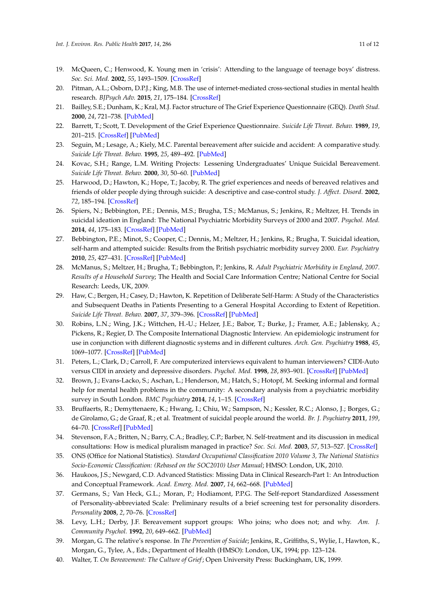- <span id="page-10-0"></span>19. McQueen, C.; Henwood, K. Young men in 'crisis': Attending to the language of teenage boys' distress. *Soc. Sci. Med.* **2002**, *55*, 1493–1509. [\[CrossRef\]](http://dx.doi.org/10.1016/S0277-9536(01)00186-1)
- <span id="page-10-1"></span>20. Pitman, A.L.; Osborn, D.P.J.; King, M.B. The use of internet-mediated cross-sectional studies in mental health research. *BJPsych Adv.* **2015**, *21*, 175–184. [\[CrossRef\]](http://dx.doi.org/10.1192/apt.bp.114.012948)
- <span id="page-10-2"></span>21. Bailley, S.E.; Dunham, K.; Kral, M.J. Factor structure of The Grief Experience Questionnaire (GEQ). *Death Stud.* **2000**, *24*, 721–738. [\[PubMed\]](http://www.ncbi.nlm.nih.gov/pubmed/11503720)
- <span id="page-10-3"></span>22. Barrett, T.; Scott, T. Development of the Grief Experience Questionnaire. *Suicide Life Threat. Behav.* **1989**, *19*, 201–215. [\[CrossRef\]](http://dx.doi.org/10.1111/j.1943-278X.1989.tb01033.x) [\[PubMed\]](http://www.ncbi.nlm.nih.gov/pubmed/2749862)
- <span id="page-10-4"></span>23. Seguin, M.; Lesage, A.; Kiely, M.C. Parental bereavement after suicide and accident: A comparative study. *Suicide Life Threat. Behav.* **1995**, *25*, 489–492. [\[PubMed\]](http://www.ncbi.nlm.nih.gov/pubmed/8928203)
- 24. Kovac, S.H.; Range, L.M. Writing Projects: Lessening Undergraduates' Unique Suicidal Bereavement. *Suicide Life Threat. Behav.* **2000**, *30*, 50–60. [\[PubMed\]](http://www.ncbi.nlm.nih.gov/pubmed/10782718)
- <span id="page-10-5"></span>25. Harwood, D.; Hawton, K.; Hope, T.; Jacoby, R. The grief experiences and needs of bereaved relatives and friends of older people dying through suicide: A descriptive and case-control study. *J. Affect. Disord.* **2002**, *72*, 185–194. [\[CrossRef\]](http://dx.doi.org/10.1016/S0165-0327(01)00462-1)
- <span id="page-10-6"></span>26. Spiers, N.; Bebbington, P.E.; Dennis, M.S.; Brugha, T.S.; McManus, S.; Jenkins, R.; Meltzer, H. Trends in suicidal ideation in England: The National Psychiatric Morbidity Surveys of 2000 and 2007. *Psychol. Med.* **2014**, *44*, 175–183. [\[CrossRef\]](http://dx.doi.org/10.1017/S0033291713000317) [\[PubMed\]](http://www.ncbi.nlm.nih.gov/pubmed/23537549)
- <span id="page-10-7"></span>27. Bebbington, P.E.; Minot, S.; Cooper, C.; Dennis, M.; Meltzer, H.; Jenkins, R.; Brugha, T. Suicidal ideation, self-harm and attempted suicide: Results from the British psychiatric morbidity survey 2000. *Eur. Psychiatry* **2010**, *25*, 427–431. [\[CrossRef\]](http://dx.doi.org/10.1016/j.eurpsy.2009.12.004) [\[PubMed\]](http://www.ncbi.nlm.nih.gov/pubmed/20627465)
- <span id="page-10-8"></span>28. McManus, S.; Meltzer, H.; Brugha, T.; Bebbington, P.; Jenkins, R. *Adult Psychiatric Morbidity in England, 2007. Results of a Household Survey*; The Health and Social Care Information Centre; National Centre for Social Research: Leeds, UK, 2009.
- <span id="page-10-9"></span>29. Haw, C.; Bergen, H.; Casey, D.; Hawton, K. Repetition of Deliberate Self-Harm: A Study of the Characteristics and Subsequent Deaths in Patients Presenting to a General Hospital According to Extent of Repetition. *Suicide Life Threat. Behav.* **2007**, *37*, 379–396. [\[CrossRef\]](http://dx.doi.org/10.1521/suli.2007.37.4.379) [\[PubMed\]](http://www.ncbi.nlm.nih.gov/pubmed/17896879)
- <span id="page-10-10"></span>30. Robins, L.N.; Wing, J.K.; Wittchen, H.-U.; Helzer, J.E.; Babor, T.; Burke, J.; Framer, A.E.; Jablensky, A.; Pickens, R.; Regier, D. The Composite International Diagnostic Interview. An epidemiologic instrument for use in conjunction with different diagnostic systems and in different cultures. *Arch. Gen. Psychiatry* **1988**, *45*, 1069–1077. [\[CrossRef\]](http://dx.doi.org/10.1001/archpsyc.1988.01800360017003) [\[PubMed\]](http://www.ncbi.nlm.nih.gov/pubmed/2848472)
- <span id="page-10-11"></span>31. Peters, L.; Clark, D.; Carroll, F. Are computerized interviews equivalent to human interviewers? CIDI-Auto versus CIDI in anxiety and depressive disorders. *Psychol. Med.* **1998**, *28*, 893–901. [\[CrossRef\]](http://dx.doi.org/10.1017/S0033291798006655) [\[PubMed\]](http://www.ncbi.nlm.nih.gov/pubmed/9723144)
- <span id="page-10-12"></span>32. Brown, J.; Evans-Lacko, S.; Aschan, L.; Henderson, M.; Hatch, S.; Hotopf, M. Seeking informal and formal help for mental health problems in the community: A secondary analysis from a psychiatric morbidity survey in South London. *BMC Psychiatry* **2014**, *14*, 1–15. [\[CrossRef\]](http://dx.doi.org/10.1186/s12888-014-0275-y)
- <span id="page-10-13"></span>33. Bruffaerts, R.; Demyttenaere, K.; Hwang, I.; Chiu, W.; Sampson, N.; Kessler, R.C.; Alonso, J.; Borges, G.; de Girolamo, G.; de Graaf, R.; et al. Treatment of suicidal people around the world. *Br. J. Psychiatry* **2011**, *199*, 64–70. [\[CrossRef\]](http://dx.doi.org/10.1192/bjp.bp.110.084129) [\[PubMed\]](http://www.ncbi.nlm.nih.gov/pubmed/21263012)
- <span id="page-10-14"></span>34. Stevenson, F.A.; Britten, N.; Barry, C.A.; Bradley, C.P.; Barber, N. Self-treatment and its discussion in medical consultations: How is medical pluralism managed in practice? *Soc. Sci. Med.* **2003**, *57*, 513–527. [\[CrossRef\]](http://dx.doi.org/10.1016/S0277-9536(02)00377-5)
- <span id="page-10-15"></span>35. ONS (Office for National Statistics). *Standard Occupational Classification 2010 Volume 3, The National Statistics Socio-Economic Classification: (Rebased on the SOC2010) User Manual*; HMSO: London, UK, 2010.
- <span id="page-10-16"></span>36. Haukoos, J.S.; Newgard, C.D. Advanced Statistics: Missing Data in Clinical Research-Part 1: An Introduction and Conceptual Framework. *Acad. Emerg. Med.* **2007**, *14*, 662–668. [\[PubMed\]](http://www.ncbi.nlm.nih.gov/pubmed/17538078)
- <span id="page-10-17"></span>37. Germans, S.; Van Heck, G.L.; Moran, P.; Hodiamont, P.P.G. The Self-report Standardized Assessment of Personality-abbreviated Scale: Preliminary results of a brief screening test for personality disorders. *Personality* **2008**, *2*, 70–76. [\[CrossRef\]](http://dx.doi.org/10.1002/pmh.34)
- <span id="page-10-18"></span>38. Levy, L.H.; Derby, J.F. Bereavement support groups: Who joins; who does not; and why. *Am. J. Community Psychol.* **1992**, *20*, 649–662. [\[PubMed\]](http://www.ncbi.nlm.nih.gov/pubmed/1485615)
- <span id="page-10-19"></span>39. Morgan, G. The relative's response. In *The Prevention of Suicide*; Jenkins, R., Griffiths, S., Wylie, I., Hawton, K., Morgan, G., Tylee, A., Eds.; Department of Health (HMSO): London, UK, 1994; pp. 123–124.
- <span id="page-10-20"></span>40. Walter, T. *On Bereavement: The Culture of Grief*; Open University Press: Buckingham, UK, 1999.